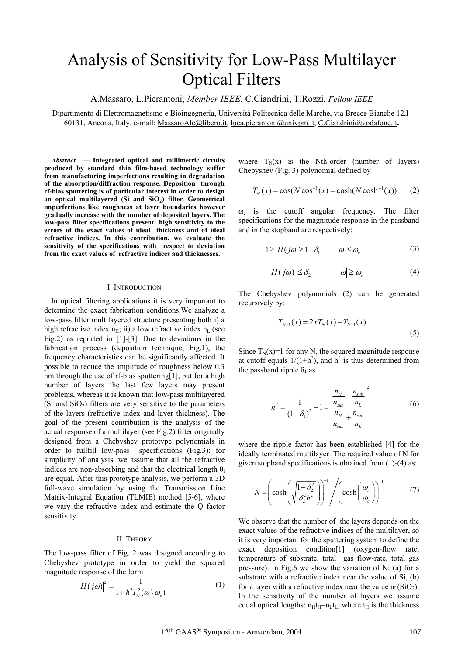# Analysis of Sensitivity for Low-Pass Multilayer Optical Filters

A.Massaro, L.Pierantoni, *Member IEEE*, C.Ciandrini, T.Rozzi, *Fellow IEEE* 

Dipartimento di Elettromagnetismo e Bioingegneria, Università Politecnica delle Marche, via Brecce Bianche 12,I-60131, Ancona, Italy. e-mail: MassaroAle@libero.it, luca.pierantoni@univpm.it, C.Ciandrini@vodafone.it**.**

*Abstract* **— Integrated optical and millimetric circuits produced by standard thin film-based technology suffer from manufacturing imperfections resulting in degradation of the absorption/diffraction response. Deposition through rf-bias sputtering is of particular interest in order to design**  an optical multilayered (Si and SiO<sub>2</sub>) filter. Geometrical **imperfections like roughness at layer boundaries however gradually increase with the number of deposited layers. The low-pass filter specifications present high sensitivity to the errors of the exact values of ideal thickness and of ideal refractive indices. In this contribution, we evaluate the sensitivity of the specifications with respect to deviation from the exact values of refractive indices and thicknesses.** 

#### I. INTRODUCTION

In optical filtering applications it is very important to determine the exact fabrication conditions.We analyze a low-pass filter multilayered structure presenting both i) a high refractive index  $n_H$ ; ii) a low refractive index  $n_L$  (see Fig.2) as reported in [1]-[3]. Due to deviations in the fabrication process (deposition technique, Fig.1), the frequency characteristics can be significantly affected. It possible to reduce the amplitude of roughness below 0.3 nm through the use of rf-bias sputtering[1], but for a high number of layers the last few layers may present problems, whereas it is known that low-pass multilayered (Si and  $SiO<sub>2</sub>$ ) filters are very sensitive to the parameters of the layers (refractive index and layer thickness). The goal of the present contribution is the analysis of the actual response of a multilayer (see Fig.2) filter originally designed from a Chebyshev prototype polynomials in order to fullfill low-pass specifications (Fig.3); for simplicity of analysis, we assume that all the refractive indices are non-absorbing and that the electrical length  $\theta_i$ are equal. After this prototype analysis, we perform a 3D full-wave simulation by using the Transmission Line Matrix-Integral Equation (TLMIE) method [5-6], where we vary the refractive index and estimate the Q factor sensitivity.

## II. THEORY

The low-pass filter of Fig. 2 was designed according to Chebyshev prototype in order to yield the squared magnitude response of the form

$$
|H(j\omega)|^2 = \frac{1}{1 + h^2 T_N^2(\omega \setminus \omega_c)}
$$
 (1)

where  $T_N(x)$  is the Nth-order (number of layers) Chebyshev (Fig. 3) polynomial defined by

$$
T_N(x) = \cos(N \cos^{-1}(x)) = \cosh(N \cosh^{-1}(x))
$$
 (2)

 $\omega_c$  is the cutoff angular frequency. The filter specifications for the magnitude response in the passband and in the stopband are respectively:

$$
1 \ge |H(j\omega)| \ge 1 - \delta_1 \qquad |\omega| \le \omega_c \tag{3}
$$

$$
|H(j\omega)| \le \delta_2 \qquad |\omega| \ge \omega_r \tag{4}
$$

The Chebyshev polynomials (2) can be generated recursively by:

$$
T_{N+1}(x) = 2xT_N(x) - T_{N-1}(x)
$$
\n(5)

Since  $T_N(x)=1$  for any N, the squared magnitude response at cutoff equals  $1/(1+h^2)$ , and  $h^2$  is thus determined from the passband ripple  $\delta_1$  as

$$
h^{2} = \frac{1}{(1 - \delta_{1})^{2}} - 1 = \left| \frac{\frac{n_{H}}{n_{sub}} - \frac{n_{sub}}{n_{L}}}{\frac{n_{H}}{n_{sub}} + \frac{n_{sub}}{n_{L}}} \right|^{2}
$$
(6)

where the ripple factor has been established [4] for the ideally terminated multilayer. The required value of N for given stopband specifications is obtained from (1)-(4) as:

$$
N = \left(\cosh\left(\sqrt{\frac{1-\delta_2^2}{\delta_2^2 h^2}}\right)\right)^{-1} / \left(\cosh\left(\frac{\omega_r}{\omega_c}\right)\right)^{-1} \tag{7}
$$

We observe that the number of the layers depends on the exact values of the refractive indices of the multilayer, so it is very important for the sputtering system to define the exact deposition condition[1] (oxygen-flow rate, temperature of substrate, total gas flow-rate, total gas pressure). In Fig.6 we show the variation of N: (a) for a substrate with a refractive index near the value of Si, (b) for a layer with a refractive index near the value  $n_I(SiO_2)$ . In the sensitivity of the number of layers we assume equal optical lengths:  $n_H t_H = n_L t_L$ , where  $t_H$  is the thickness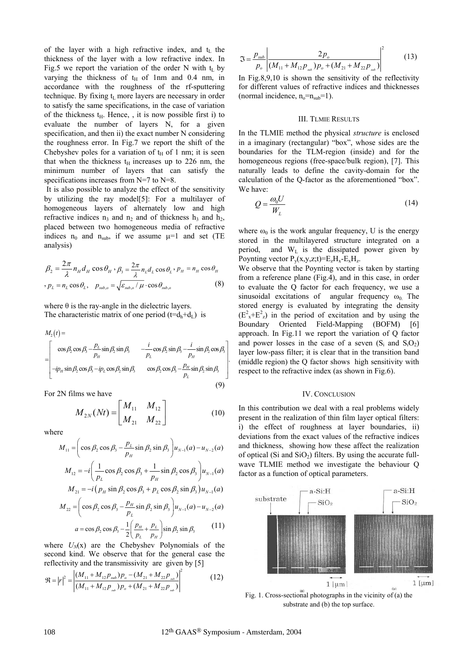of the layer with a high refractive index, and  $t<sub>L</sub>$  the thickness of the layer with a low refractive index. In Fig.5 we report the variation of the order N with  $t_L$  by varying the thickness of  $t_H$  of 1nm and 0.4 nm, in accordance with the roughness of the rf-sputtering technique. By fixing  $t_L$  more layers are necessary in order to satisfy the same specifications, in the case of variation of the thickness  $t_H$ . Hence, , it is now possible first i) to evaluate the number of layers N, for a given specification, and then ii) the exact number N considering the roughness error. In Fig.7 we report the shift of the Chebyshev poles for a variation of  $t_H$  of 1 nm; it is seen that when the thickness  $t_H$  increases up to 226 nm, the minimum number of layers that can satisfy the specifications increases from N=7 to N=8.

It is also possible to analyze the effect of the sensitivity by utilizing the ray model[5]: For a multilayer of homogeneous layers of alternately low and high refractive indices  $n_3$  and  $n_2$  and of thickness  $h_3$  and  $h_2$ , placed between two homogeneous media of refractive indices  $n_0$  and  $n_{sub}$ , if we assume  $\mu=1$  and set (TE analysis)

$$
\beta_2 = \frac{2\pi}{\lambda} n_H d_H \cos \theta_H \cdot \beta_3 = \frac{2\pi}{\lambda} n_L d_L \cos \theta_L \cdot p_H = n_H \cos \theta_H
$$
  

$$
\beta_L = n_L \cos \theta_L, \quad p_{sub,o} = \sqrt{\varepsilon_{sub,o} / \mu} \cdot \cos \theta_{sub,o}
$$
 (8)

where  $\theta$  is the ray-angle in the dielectric layers. The characteristic matrix of one period  $(t=d_h+d_l)$  is

$$
M_2(t) = \begin{bmatrix} \cos \beta_2 \cos \beta_3 - \frac{p_L}{p_H} \sin \beta_2 \sin \beta_3 & -\frac{i}{p_L} \cos \beta_2 \sin \beta_3 - \frac{i}{p_H} \sin \beta_2 \cos \beta_3 \\ -ip_H \sin \beta_2 \cos \beta_3 - ip_L \cos \beta_2 \sin \beta_3 & \cos \beta_2 \cos \beta_3 - \frac{p_H}{p_L} \sin \beta_2 \sin \beta_3 \end{bmatrix}
$$
(9)

For 2N films we have

$$
M_{2N}(Nt) = \begin{bmatrix} M_{11} & M_{12} \\ M_{21} & M_{22} \end{bmatrix}
$$
 (10)

where

*M t*

$$
M_{11} = \left(\cos \beta_2 \cos \beta_3 - \frac{p_L}{p_H} \sin \beta_2 \sin \beta_3\right) u_{N-1}(a) - u_{N-2}(a)
$$
  

$$
M_{12} = -i \left(\frac{1}{n} \cos \beta_2 \cos \beta_3 + \frac{1}{n} \sin \beta_2 \cos \beta_3\right) u_{N-1}(a)
$$

$$
M_{12} = -i \left( \frac{1}{p_L} \cos \beta_2 \cos \beta_3 + \frac{1}{p_H} \sin \beta_2 \cos \beta_3 \right) u_{N-1}(a)
$$
  

$$
M_{21} = -i \left( p_H \sin \beta_2 \cos \beta_3 + p_L \cos \beta_2 \sin \beta_3 \right) u_{N-1}(a)
$$

$$
M_{22} = \left(\cos \beta_2 \cos \beta_3 - \frac{p_H}{p_L} \sin \beta_2 \sin \beta_3\right) u_{N-1}(a) - u_{N-2}(a)
$$

$$
a = \cos \beta_2 \cos \beta_3 - \frac{1}{2} \left( \frac{p_H}{p_L} + \frac{p_L}{p_H} \right) \sin \beta_2 \sin \beta_3 \tag{11}
$$

where  $U_N(x)$  are the Chebyshev Polynomials of the second kind. We observe that for the general case the reflectivity and the transmissivity are given by  $[5]$ 

$$
\mathfrak{R} = \left| r \right|^2 = \left| \frac{(M_{11} + M_{12} p_{\text{sub}}) p_o - (M_{21} + M_{22} p_{\text{sub}})}{(M_{11} + M_{12} p_{\text{sub}}) p_o + (M_{21} + M_{22} p_{\text{sub}})} \right|^2 \tag{12}
$$

$$
\mathfrak{S} = \frac{P_{sub}}{P_o} \left| \frac{2p_o}{(M_{11} + M_{12}P_{sub})P_o + (M_{21} + M_{22}P_{sub})} \right|^2 \tag{13}
$$

In Fig.8,9,10 is shown the sensitivity of the reflectivity for different values of refractive indices and thicknesses (normal incidence,  $n_0=n_{sub}=1$ ).

#### III. TLMIE RESULTS

In the TLMIE method the physical *structure* is enclosed in a imaginary (rectangular) "box", whose sides are the boundaries for the TLM-region (inside) and for the homogeneous regions (free-space/bulk region), [7]. This naturally leads to define the cavity-domain for the calculation of the Q-factor as the aforementioned "box". We have:

$$
Q = \frac{\omega_0 U}{W_L} \tag{14}
$$

where  $\omega_0$  is the work angular frequency, U is the energy stored in the multilayered structure integrated on a period, and  $W<sub>L</sub>$  is the dissipated power given by Poynting vector  $P_v(x,y,z;t)=E_zH_x-E_xH_z$ .

We observe that the Poynting vector is taken by starting from a reference plane (Fig.4), and in this case, in order to evaluate the Q factor for each frequency, we use a sinusoidal excitations of angular frequency  $\omega_0$ . The stored energy is evaluated by integrating the density  $(E<sup>2</sup><sub>x</sub>+E<sup>2</sup><sub>z</sub>)$  in the period of excitation and by using the Boundary Oriented Field-Mapping (BOFM) [6] approach. In Fig.11 we report the variation of Q factor and power losses in the case of a seven  $(S_i \text{ and } S_iO_2)$ layer low-pass filter; it is clear that in the transition band (middle region) the Q factor shows high sensitivity with respect to the refractive index (as shown in Fig.6).

### IV. CONCLUSION

In this contribution we deal with a real problems widely present in the realization of thin film layer optical filters: i) the effect of roughness at layer boundaries, ii) deviations from the exact values of the refractive indices and thickness, showing how these affect the realization of optical (Si and  $SiO<sub>2</sub>$ ) filters. By using the accurate fullwave TLMIE method we investigate the behaviour Q factor as a function of optical parameters.



.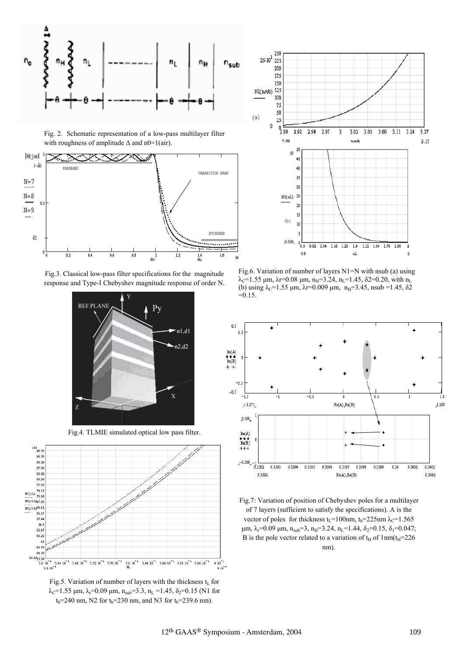

Fig. 2. Schematic representation of a low-pass multilayer filter with roughness of amplitude  $\Delta$  and n0=1(air).



Fig.3. Classical low-pass filter specifications for the magnitude response and Type-I Chebyshev magnitude response of order N.



Fig.4. TLMIE simulated optical low pass filter.



Fig.5. Variation of number of layers with the thickness  $t_L$  for  $\lambda_c$ =1.55 µm,  $\lambda_r$ =0.09 µm,  $n_{sub}$ =3.3,  $n_L$  =1.45,  $\delta_2$ =0.15 (N1 for  $t_h$ =240 nm, N2 for  $t_h$ =230 nm, and N3 for  $t_h$ =239.6 nm).



Fig.6. Variation of number of layers N1=N with nsub (a) using  $\lambda_c$ =1.55 µm,  $\lambda$ r=0.08 µm, n<sub>H</sub>=3.24, n<sub>L</sub>=1.45,  $\delta$ 2=0.20, with n<sub>L</sub> (b) using  $\lambda_c$ =1.55 µm,  $\lambda$ r=0.009 µm, n<sub>H</sub>=3.45, nsub =1.45,  $\delta$ 2  $=0.15$ 



Fig.7: Variation of position of Chebyshev poles for a multilayer of 7 layers (sufficient to satisfy the specifications). A is the vector of poles for thickness t<sub>L</sub>=100nm, t<sub>h</sub>=225nm  $\lambda$ <sub>C</sub>=1.565  $\mu$ m,  $\lambda$ <sub>r</sub>=0.09  $\mu$ m,  $n_{sub}$ =3,  $n_{H}$ =3.24,  $n_{L}$ =1.44,  $\delta$ <sub>2</sub>=0.15,  $\delta$ <sub>1</sub>=0.047; B is the pole vector related to a variation of  $t_H$  of  $1nm(t_H=226$ nm).